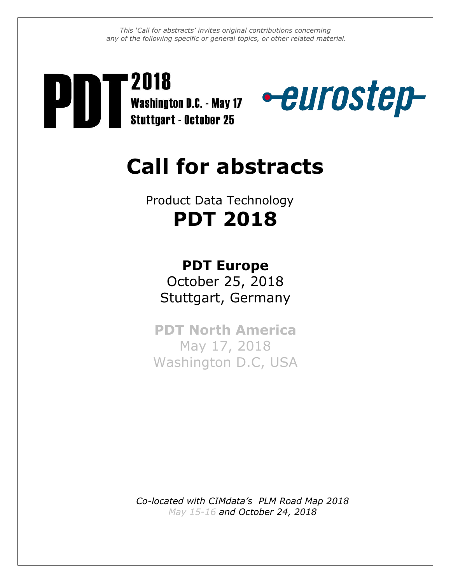*This 'Call for abstracts' invites original contributions concerning any of the following specific or general topics, or other related material.*



# **Call for abstracts**

Product Data Technology **PDT 2018**

# **PDT Europe**

October 25, 2018 Stuttgart, Germany

**PDT North America** May 17, 2018 Washington D.C, USA

*Co-located with CIMdata's PLM Road Map 2018 May 15-16 and October 24, 2018*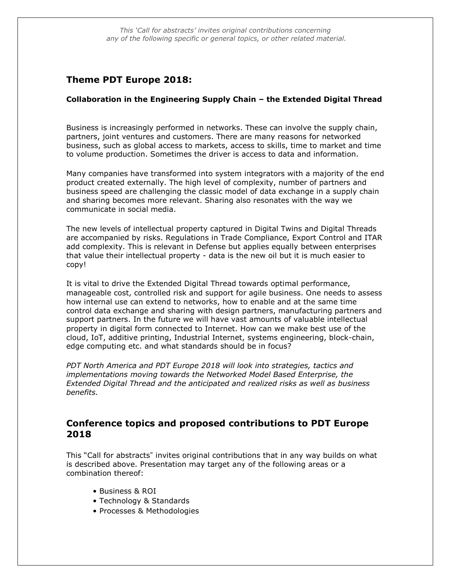### **Theme PDT Europe 2018:**

#### **Collaboration in the Engineering Supply Chain – the Extended Digital Thread**

Business is increasingly performed in networks. These can involve the supply chain, partners, joint ventures and customers. There are many reasons for networked business, such as global access to markets, access to skills, time to market and time to volume production. Sometimes the driver is access to data and information.

Many companies have transformed into system integrators with a majority of the end product created externally. The high level of complexity, number of partners and business speed are challenging the classic model of data exchange in a supply chain and sharing becomes more relevant. Sharing also resonates with the way we communicate in social media.

The new levels of intellectual property captured in Digital Twins and Digital Threads are accompanied by risks. Regulations in Trade Compliance, Export Control and ITAR add complexity. This is relevant in Defense but applies equally between enterprises that value their intellectual property - data is the new oil but it is much easier to copy!

It is vital to drive the Extended Digital Thread towards optimal performance, manageable cost, controlled risk and support for agile business. One needs to assess how internal use can extend to networks, how to enable and at the same time control data exchange and sharing with design partners, manufacturing partners and support partners. In the future we will have vast amounts of valuable intellectual property in digital form connected to Internet. How can we make best use of the cloud, IoT, additive printing, Industrial Internet, systems engineering, block-chain, edge computing etc. and what standards should be in focus?

*PDT North America and PDT Europe 2018 will look into strategies, tactics and implementations moving towards the Networked Model Based Enterprise, the Extended Digital Thread and the anticipated and realized risks as well as business benefits.*

#### **Conference topics and proposed contributions to PDT Europe 2018**

This "Call for abstracts" invites original contributions that in any way builds on what is described above. Presentation may target any of the following areas or a combination thereof:

- Business & ROI
- Technology & Standards
- Processes & Methodologies